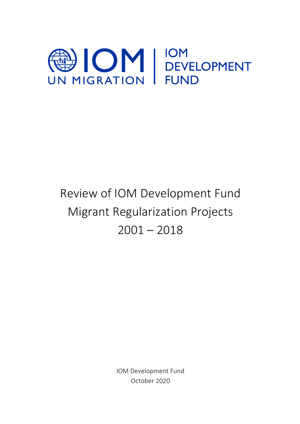

# Review of IOM Development Fund Migrant Regularization Projects  $2001 - 2018$

IOM Development Fund October 2020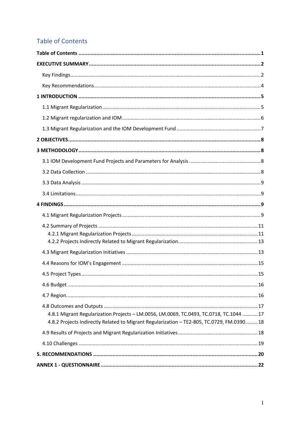# **Table of Contents**

| .15                                                                                                                                                                                  |
|--------------------------------------------------------------------------------------------------------------------------------------------------------------------------------------|
|                                                                                                                                                                                      |
|                                                                                                                                                                                      |
| 4.8.1 Migrant Regularization Projects - LM.0056, LM.0069, TC.0493, TC.0718, TC.1044 17<br>4.8.2 Projects Indirectly Related to Migrant Regularization - TE2-805, TC.0729, FM.0390 18 |
|                                                                                                                                                                                      |
|                                                                                                                                                                                      |
|                                                                                                                                                                                      |
|                                                                                                                                                                                      |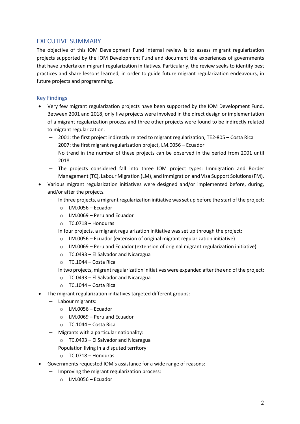# EXECUTIVE SUMMARY

The objective of this IOM Development Fund internal review is to assess migrant regularization projects supported by the IOM Development Fund and document the experiences of governments that have undertaken migrant regularization initiatives. Particularly, the review seeks to identify best practices and share lessons learned, in order to guide future migrant regularization endeavours, in future projects and programming.

# Key Findings

- Very few migrant regularization projects have been supported by the IOM Development Fund. Between 2001 and 2018, only five projects were involved in the direct design or implementation of a migrant regularization process and three other projects were found to be indirectly related to migrant regularization.
	- 2001: the first project indirectly related to migrant regularization, TE2-805 Costa Rica
	- 2007: the first migrant regularization project, LM.0056 Ecuador
	- No trend in the number of these projects can be observed in the period from 2001 until 2018.
	- The projects considered fall into three IOM project types: Immigration and Border Management (TC), Labour Migration (LM), and Immigration and Visa Support Solutions (FM).
- Various migrant regularization initiatives were designed and/or implemented before, during, and/or after the projects.
	- In three projects, a migrant regularization initiative was set up before the start of the project:
		- $\circ$  LM.0056 Ecuador
		- o LM.0069 Peru and Ecuador
		- o TC.0718 Honduras
	- In four projects, a migrant regularization initiative was set up through the project:
		- $\circ$  LM.0056 Ecuador (extension of original migrant regularization initiative)
		- $\circ$  LM.0069 Peru and Ecuador (extension of original migrant regularization initiative)
		- $\circ$  TC.0493 El Salvador and Nicaragua
		- o TC.1044 Costa Rica
	- In two projects, migrant regularization initiatives were expanded after the end of the project:
		- o TC.0493 El Salvador and Nicaragua
		- o TC.1044 Costa Rica
- The migrant regularization initiatives targeted different groups:
	- Labour migrants:
		- o LM.0056 Ecuador
		- o LM.0069 Peru and Ecuador
		- o TC.1044 Costa Rica
	- Migrants with a particular nationality:
		- o TC.0493 El Salvador and Nicaragua
	- Population living in a disputed territory:
		- o TC.0718 Honduras
- Governments requested IOM's assistance for a wide range of reasons:
	- Improving the migrant regularization process:
		- $O$  LM.0056 Ecuador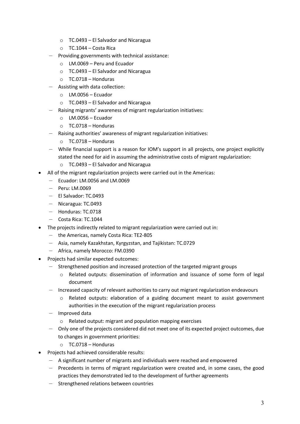- o TC.0493 El Salvador and Nicaragua
- o TC.1044 Costa Rica
- Providing governments with technical assistance:
	- o LM.0069 Peru and Ecuador
	- o TC.0493 El Salvador and Nicaragua
	- o TC.0718 Honduras
- Assisting with data collection:
	- o LM.0056 Ecuador
	- o TC.0493 El Salvador and Nicaragua
- Raising migrants' awareness of migrant regularization initiatives:
	- o LM.0056 Ecuador
	- o TC.0718 Honduras
- Raising authorities' awareness of migrant regularization initiatives:
	- o TC.0718 Honduras
- While financial support is a reason for IOM's support in all projects, one project explicitly stated the need for aid in assuming the administrative costs of migrant regularization:
	- o TC.0493 El Salvador and Nicaragua
- All of the migrant regularization projects were carried out in the Americas:
	- Ecuador: LM.0056 and LM.0069
	- Peru: LM.0069
	- El Salvador: TC.0493
	- Nicaragua: TC.0493
	- Honduras: TC.0718
	- Costa Rica: TC.1044
- The projects indirectly related to migrant regularization were carried out in:
	- the Americas, namely Costa Rica: TE2-805
	- Asia, namely Kazakhstan, Kyrgyzstan, and Tajikistan: TC.0729
	- Africa, namely Morocco: FM.0390
- Projects had similar expected outcomes:
	- Strengthened position and increased protection of the targeted migrant groups
		- o Related outputs: dissemination of information and issuance of some form of legal document
	- Increased capacity of relevant authorities to carry out migrant regularization endeavours
		- o Related outputs: elaboration of a guiding document meant to assist government authorities in the execution of the migrant regularization process
	- Improved data
		- o Related output: migrant and population mapping exercises
	- Only one of the projects considered did not meet one of its expected project outcomes, due to changes in government priorities:
		- o TC.0718 Honduras
- Projects had achieved considerable results:
	- A significant number of migrants and individuals were reached and empowered
	- Precedents in terms of migrant regularization were created and, in some cases, the good practices they demonstrated led to the development of further agreements
	- Strengthened relations between countries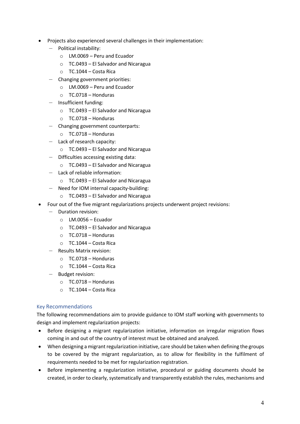- Projects also experienced several challenges in their implementation:
	- Political instability:
		- o LM.0069 Peru and Ecuador
		- o TC.0493 El Salvador and Nicaragua
		- o TC.1044 Costa Rica
	- Changing government priorities:
		- o LM.0069 Peru and Ecuador
		- o TC.0718 Honduras
	- Insufficient funding:
		- o TC.0493 El Salvador and Nicaragua
		- o TC.0718 Honduras
	- Changing government counterparts:
		- o TC.0718 Honduras
	- Lack of research capacity:
		- o TC.0493 El Salvador and Nicaragua
	- Difficulties accessing existing data:
		- $\circ$  TC.0493 El Salvador and Nicaragua
	- Lack of reliable information:
		- o TC.0493 El Salvador and Nicaragua
	- Need for IOM internal capacity-building:
		- o TC.0493 El Salvador and Nicaragua
- Four out of the five migrant regularizations projects underwent project revisions:
	- Duration revision:
		- $O$  LM.0056 Ecuador
		- $\circ$  TC.0493 El Salvador and Nicaragua
		- o TC.0718 Honduras
		- o TC.1044 Costa Rica
	- Results Matrix revision:
		- o TC.0718 Honduras
		- o TC.1044 Costa Rica
	- Budget revision:
		- o TC.0718 Honduras
		- o TC.1044 Costa Rica

# Key Recommendations

The following recommendations aim to provide guidance to IOM staff working with governments to design and implement regularization projects:

- Before designing a migrant regularization initiative, information on irregular migration flows coming in and out of the country of interest must be obtained and analyzed.
- When designing a migrant regularization initiative, care should be taken when defining the groups to be covered by the migrant regularization, as to allow for flexibility in the fulfilment of requirements needed to be met for regularization registration.
- Before implementing a regularization initiative, procedural or guiding documents should be created, in order to clearly, systematically and transparently establish the rules, mechanisms and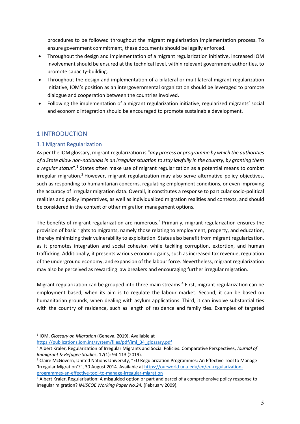procedures to be followed throughout the migrant regularization implementation process. To ensure government commitment, these documents should be legally enforced.

- Throughout the design and implementation of a migrant regularization initiative, increased IOM involvement should be ensured at the technical level, within relevant government authorities, to promote capacity-building.
- Throughout the design and implementation of a bilateral or multilateral migrant regularization initiative, IOM's position as an intergovernmental organization should be leveraged to promote dialogue and cooperation between the countries involved.
- Following the implementation of a migrant regularization initiative, regularized migrants' social and economic integration should be encouraged to promote sustainable development.

# 1 INTRODUCTION

# 1.1Migrant Regularization

As per the IOM glossary, migrant regularization is "*any process or programme by which the authorities of a State allow non-nationals in an irregular situation to stay lawfully in the country, by granting them a regular status*".1 States often make use of migrant regularization as a potential means to combat irregular migration.<sup>2</sup> However, migrant regularization may also serve alternative policy objectives, such as responding to humanitarian concerns, regulating employment conditions, or even improving the accuracy of irregular migration data. Overall, it constitutes a response to particular socio-political realities and policy imperatives, as well as individualized migration realities and contexts, and should be considered in the context of other migration management options.

The benefits of migrant regularization are numerous.<sup>3</sup> Primarily, migrant regularization ensures the provision of basic rights to migrants, namely those relating to employment, property, and education, thereby minimizing their vulnerability to exploitation. States also benefit from migrant regularization, as it promotes integration and social cohesion while tackling corruption, extortion, and human trafficking. Additionally, it presents various economic gains, such as increased tax revenue, regulation of the underground economy, and expansion of the labour force. Nevertheless, migrant regularization may also be perceived as rewarding law breakers and encouraging further irregular migration.

Migrant regularization can be grouped into three main streams.<sup>4</sup> First, migrant regularization can be employment based, when its aim is to regulate the labour market. Second, it can be based on humanitarian grounds, when dealing with asylum applications. Third, it can involve substantial ties with the country of residence, such as length of residence and family ties. Examples of targeted

https://publications.iom.int/system/files/pdf/iml\_34\_glossary.pdf

<sup>1</sup> IOM, *Glossary on Migration* (Geneva, 2019). Available at

<sup>2</sup> Albert Kraler, Regularization of Irregular Migrants and Social Policies: Comparative Perspectives, *Journal of Immigrant & Refugee Studies*, 17(1): 94-113 (2019).

<sup>&</sup>lt;sup>3</sup> Claire McGovern, United Nations University, "EU Regularization Programmes: An Effective Tool to Manage 'Irregular Migration'?", 30 August 2014. Available at https://ourworld.unu.edu/en/eu-regularizationprogrammes-an-effective-tool-to-manage-irregular-migration

<sup>4</sup> Albert Kraler, Regularisation: A misguided option or part and parcel of a comprehensive policy response to irregular migration? *IMISCOE Working Paper No.24,* (February 2009).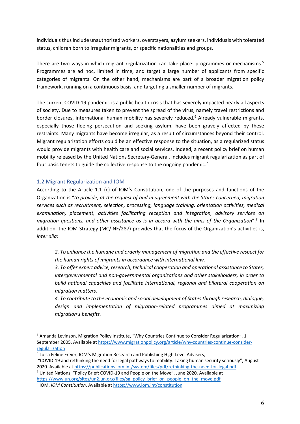individuals thus include unauthorized workers, overstayers, asylum seekers, individuals with tolerated status, children born to irregular migrants, or specific nationalities and groups.

There are two ways in which migrant regularization can take place: programmes or mechanisms.<sup>5</sup> Programmes are ad hoc, limited in time, and target a large number of applicants from specific categories of migrants. On the other hand, mechanisms are part of a broader migration policy framework, running on a continuous basis, and targeting a smaller number of migrants.

The current COVID-19 pandemic is a public health crisis that has severely impacted nearly all aspects of society. Due to measures taken to prevent the spread of the virus, namely travel restrictions and border closures, international human mobility has severely reduced.<sup>6</sup> Already vulnerable migrants, especially those fleeing persecution and seeking asylum, have been gravely affected by these restraints. Many migrants have become irregular, as a result of circumstances beyond their control. Migrant regularization efforts could be an effective response to the situation, as a regularized status would provide migrants with health care and social services. Indeed, a recent policy brief on human mobility released by the United Nations Secretary-General, includes migrant regularization as part of four basic tenets to guide the collective response to the ongoing pandemic.<sup>7</sup>

# 1.2 Migrant Regularization and IOM

According to the Article 1.1 (c) of IOM's Constitution, one of the purposes and functions of the Organization is "*to provide, at the request of and in agreement with the States concerned, migration services such as recruitment, selection, processing, language training, orientation activities, medical examination, placement, activities facilitating reception and integration, advisory services on migration questions, and other assistance as is in accord with the aims of the Organization*".8 In addition, the IOM Strategy (MC/INF/287) provides that the focus of the Organization's activities is, *inter alia*:

*2. To enhance the humane and orderly management of migration and the effective respect for the human rights of migrants in accordance with international law.* 

*3. To offer expert advice, research, technical cooperation and operational assistance to States, intergovernmental and non-governmental organizations and other stakeholders, in order to build national capacities and facilitate international, regional and bilateral cooperation on migration matters.* 

*4. To contribute to the economic and social development of States through research, dialogue, design and implementation of migration-related programmes aimed at maximizing migration's benefits.* 

<sup>&</sup>lt;sup>5</sup> Amanda Levinson, Migration Policy Institute, "Why Countries Continue to Consider Regularization", 1 September 2005. Available at https://www.migrationpolicy.org/article/why-countries-continue-considerregularization

<sup>6</sup> Luisa Feline Freier, IOM's Migration Research and Publishing High-Level Advisers,

<sup>&</sup>quot;COVID-19 and rethinking the need for legal pathways to mobility: Taking human security seriously", August 2020. Available at https://publications.iom.int/system/files/pdf/rethinking-the-need-for-legal.pdf

<sup>7</sup> United Nations, "Policy Brief: COVID-19 and People on the Move", June 2020. Available at https://www.un.org/sites/un2.un.org/files/sg\_policy\_brief\_on\_people\_on\_the\_move.pdf

<sup>8</sup> IOM, *IOM Constitution*. Available at https://www.iom.int/constitution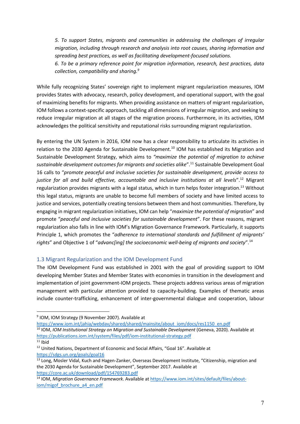*5. To support States, migrants and communities in addressing the challenges of irregular migration, including through research and analysis into root causes, sharing information and spreading best practices, as well as facilitating development-focused solutions.* 

*6. To be a primary reference point for migration information, research, best practices, data collection, compatibility and sharing.9*

While fully recognizing States' sovereign right to implement migrant regularization measures, IOM provides States with advocacy, research, policy development, and operational support, with the goal of maximizing benefits for migrants. When providing assistance on matters of migrant regularization, IOM follows a context-specific approach, tackling all dimensions of irregular migration, and seeking to reduce irregular migration at all stages of the migration process. Furthermore, in its activities, IOM acknowledges the political sensitivity and reputational risks surrounding migrant regularization.

By entering the UN System in 2016, IOM now has a clear responsibility to articulate its activities in relation to the 2030 Agenda for Sustainable Development.<sup>10</sup> IOM has established its Migration and Sustainable Development Strategy, which aims to *"maximize the potential of migration to achieve sustainable development outcomes for migrants and societies alike*".11 Sustainable Development Goal 16 calls to "*promote peaceful and inclusive societies for sustainable development, provide access to justice for all and build effective, accountable and inclusive institutions at all levels*".12 Migrant regularization provides migrants with a legal status, which in turn helps foster integration.<sup>13</sup> Without this legal status, migrants are unable to become full members of society and have limited access to justice and services, potentially creating tensions between them and host communities. Therefore, by engaging in migrant regularization initiatives, IOM can help "*maximize the potential of migration*" and promote "*peaceful and inclusive societies for sustainable development*". For these reasons, migrant regularization also falls in line with IOM's Migration Governance Framework. Particularly, it supports Principle 1, which promotes the "*adherence to international standards and fulfillment of migrants' rights*" and Objective 1 of "*advanc[ing] the socioeconomic well-being of migrants and society*".14

# 1.3 Migrant Regularization and the IOM Development Fund

The IOM Development Fund was established in 2001 with the goal of providing support to IOM developing Member States and Member States with economies in transition in the development and implementation of joint government-IOM projects. These projects address various areas of migration management with particular attention provided to capacity-building. Examples of thematic areas include counter-trafficking, enhancement of inter-governmental dialogue and cooperation, labour

https://www.iom.int/jahia/webdav/shared/shared/mainsite/about\_iom/docs/res1150\_en.pdf

<sup>9</sup> IOM, IOM Strategy (9 November 2007). Available at

<sup>&</sup>lt;sup>10</sup> IOM, *IOM Institutional Strategy on Migration and Sustainable Development* (Geneva, 2020). Available at https://publications.iom.int/system/files/pdf/iom-institutional-strategy.pdf

 $11$  Ibid

<sup>&</sup>lt;sup>12</sup> United Nations, Department of Economic and Social Affairs, "Goal 16". Available at https://sdgs.un.org/goals/goal16

<sup>&</sup>lt;sup>13</sup> Long, Mosler Vidal, Kuch and Hagen-Zanker, Overseas Development Institute, "Citizenship, migration and the 2030 Agenda for Sustainable Development", September 2017. Available at https://core.ac.uk/download/pdf/154769283.pdf

<sup>14</sup> IOM, *Migration Governance Framework*. Available at https://www.iom.int/sites/default/files/aboutiom/migof\_brochure\_a4\_en.pdf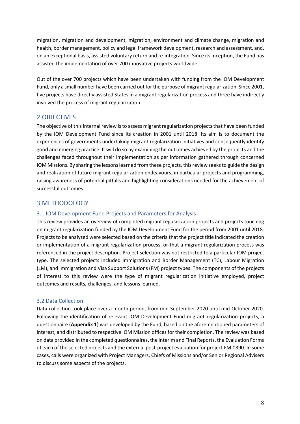migration, migration and development, migration, environment and climate change, migration and health, border management, policy and legal framework development, research and assessment, and, on an exceptional basis, assisted voluntary return and re-integration. Since its inception, the Fund has assisted the implementation of over 700 innovative projects worldwide.

Out of the over 700 projects which have been undertaken with funding from the IOM Development Fund, only a small number have been carried out for the purpose of migrant regularization. Since 2001, five projects have directly assisted States in a migrant regularization process and three have indirectly involved the process of migrant regularization.

# 2 OBJECTIVES

The objective of thisinternal review is to assess migrant regularization projects that have been funded by the IOM Development Fund since its creation in 2001 until 2018. Its aim is to document the experiences of governments undertaking migrant regularization initiatives and consequently identify good and emerging practice. It will do so by examining the outcomes achieved by the projects and the challenges faced throughout their implementation as per information gathered through concerned IOM Missions. By sharing the lessons learned from these projects, this review seeksto guide the design and realization of future migrant regularization endeavours, in particular projects and programming, raising awareness of potential pitfalls and highlighting considerations needed for the achievement of successful outcomes.

# 3 METHODOLOGY

# 3.1 IOM Development Fund Projects and Parameters for Analysis

This review provides an overview of completed migrant regularization projects and projects touching on migrant regularization funded by the IOM Development Fund for the period from 2001 until 2018. Projects to be analyzed were selected based on the criteria that the project title indicated the creation or implementation of a migrant regularization process, or that a migrant regularization process was referenced in the project description. Project selection was not restricted to a particular IOM project type. The selected projects included Immigration and Border Management (TC), Labour Migration (LM), and Immigration and Visa Support Solutions (FM) project types. The components of the projects of interest to this review were the type of migrant regularization initiative employed, project outcomes and results, challenges, and lessons learned.

# 3.2 Data Collection

Data collection took place over a month period, from mid-September 2020 until mid-October 2020. Following the identification of relevant IOM Development Fund migrant regularization projects, a questionnaire (**Appendix 1**) was developed by the Fund, based on the aforementioned parameters of interest, and distributed to respective IOM Mission offices for their completion. The review was based on data provided in the completed questionnaires, the Interim and Final Reports, the Evaluation Forms of each of the selected projects and the external post-project evaluation for project FM.0390. In some cases, calls were organized with Project Managers, Chiefs of Missions and/or Senior Regional Advisers to discuss some aspects of the projects.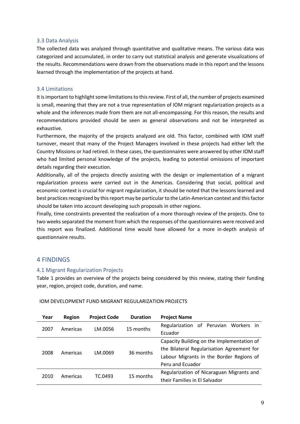#### 3.3 Data Analysis

The collected data was analyzed through quantitative and qualitative means. The various data was categorized and accumulated, in order to carry out statistical analysis and generate visualizations of the results. Recommendations were drawn from the observations made in this report and the lessons learned through the implementation of the projects at hand.

#### 3.4 Limitations

It is important to highlight some limitations to this review. First of all, the number of projects examined is small, meaning that they are not a true representation of IOM migrant regularization projects as a whole and the inferences made from them are not all-encompassing. For this reason, the results and recommendations provided should be seen as general observations and not be interpreted as exhaustive.

Furthermore, the majority of the projects analyzed are old. This factor, combined with IOM staff turnover, meant that many of the Project Managers involved in these projects had either left the Country Missions or had retired. In these cases, the questionnaires were answered by other IOM staff who had limited personal knowledge of the projects, leading to potential omissions of important details regarding their execution.

Additionally, all of the projects directly assisting with the design or implementation of a migrant regularization process were carried out in the Americas. Considering that social, political and economic context is crucial for migrant regularization, it should be noted that the lessons learned and best practices recognized by this report may be particular to the Latin-American context and this factor should be taken into account developing such proposals in other regions.

Finally, time constraints prevented the realization of a more thorough review of the projects. One to two weeks separated the moment from which the responses of the questionnaires were received and this report was finalized. Additional time would have allowed for a more in-depth analysis of questionnaire results.

# 4 FINDINGS

#### 4.1 Migrant Regularization Projects

Table 1 provides an overview of the projects being considered by this review, stating their funding year, region, project code, duration, and name.

| Year | Region   | <b>Project Code</b> | <b>Duration</b> | <b>Project Name</b>                        |
|------|----------|---------------------|-----------------|--------------------------------------------|
| 2007 | Americas | LM.0056             | 15 months       | Regularization of Peruvian Workers in      |
|      |          |                     |                 | Ecuador                                    |
|      |          |                     |                 | Capacity Building on the Implementation of |
| 2008 | Americas | LM.0069             | 36 months       | the Bilateral Regularisation Agreement for |
|      |          |                     |                 | Labour Migrants in the Border Regions of   |
|      |          |                     |                 | Peru and Ecuador                           |
| 2010 | Americas | TC.0493             | 15 months       | Regularization of Nicaraguan Migrants and  |
|      |          |                     |                 | their Families in El Salvador              |

IOM DEVELOPMENT FUND MIGRANT REGULARIZATION PROJECTS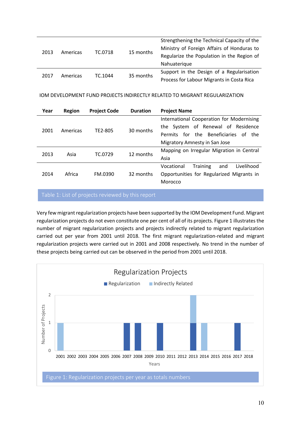| 2013 | Americas | TC.0718 | 15 months | Strengthening the Technical Capacity of the<br>Ministry of Foreign Affairs of Honduras to<br>Regularize the Population in the Region of<br>Nahuaterique |
|------|----------|---------|-----------|---------------------------------------------------------------------------------------------------------------------------------------------------------|
| 2017 | Americas | TC.1044 | 35 months | Support in the Design of a Regularisation<br>Process for Labour Migrants in Costa Rica                                                                  |

#### IOM DEVELOPMENT FUND PROJECTS INDIRECTLY RELATED TO MIGRANT REGULARIZATION

| Year | Region   | <b>Project Code</b> | <b>Duration</b> | <b>Project Name</b>                                      |  |
|------|----------|---------------------|-----------------|----------------------------------------------------------|--|
|      |          |                     |                 | International Cooperation for Modernising                |  |
| 2001 | Americas | TE2-805             | 30 months       | the System of Renewal of Residence                       |  |
|      |          |                     |                 | for the Beneficiaries<br>Permits<br>of<br>the <b>the</b> |  |
|      |          |                     |                 | Migratory Amnesty in San Jose                            |  |
| 2013 | Asia     | TC.0729             | 12 months       | Mapping on Irregular Migration in Central                |  |
|      |          |                     |                 | Asia                                                     |  |
|      |          |                     |                 | Livelihood<br>Vocational<br><b>Training</b><br>and       |  |
| 2014 | Africa   | FM.0390             | 32 months       | Opportunities for Regularized Migrants in                |  |
|      |          |                     |                 | Morocco                                                  |  |

Table 1: List of projects reviewed by this report

Very few migrant regularization projects have been supported by the IOM Development Fund. Migrant regularization projects do not even constitute one per cent of all of its projects. Figure 1 illustrates the number of migrant regularization projects and projects indirectly related to migrant regularization carried out per year from 2001 until 2018. The first migrant regularization-related and migrant regularization projects were carried out in 2001 and 2008 respectively. No trend in the number of these projects being carried out can be observed in the period from 2001 until 2018.

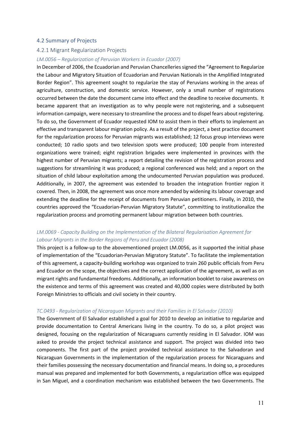#### 4.2 Summary of Projects

#### 4.2.1 Migrant Regularization Projects

#### *LM.0056 – Regularization of Peruvian Workers in Ecuador (2007)*

In December of 2006, the Ecuadorian and Peruvian Chancelleries signed the "Agreement to Regularize the Labour and Migratory Situation of Ecuadorian and Peruvian Nationals in the Amplified Integrated Border Region". This agreement sought to regularize the stay of Peruvians working in the areas of agriculture, construction, and domestic service. However, only a small number of registrations occurred between the date the document came into effect and the deadline to receive documents. It became apparent that an investigation as to why people were not registering, and a subsequent information campaign, were necessary to streamline the process and to dispel fears about registering. To do so, the Government of Ecuador requested IOM to assist them in their efforts to implement an effective and transparent labour migration policy. As a result of the project, a best practice document for the regularization process for Peruvian migrants was established; 12 focus group interviews were conducted; 10 radio spots and two television spots were produced; 100 people from interested organizations were trained; eight registration brigades were implemented in provinces with the highest number of Peruvian migrants; a report detailing the revision of the registration process and suggestions for streamlining it was produced; a regional conferenced was held; and a report on the situation of child labour exploitation among the undocumented Peruvian population was produced. Additionally, in 2007, the agreement was extended to broaden the integration frontier region it covered. Then, in 2008, the agreement was once more amended by widening its labour coverage and extending the deadline for the receipt of documents from Peruvian petitioners. Finally, in 2010, the countries approved the "Ecuadorian-Peruvian Migratory Statute", committing to institutionalize the regularization process and promoting permanent labour migration between both countries.

# *LM.0069 - Capacity Building on the Implementation of the Bilateral Regularisation Agreement for Labour Migrants in the Border Regions of Peru and Ecuador (2008)*

This project is a follow-up to the abovementioned project LM.0056, as it supported the initial phase of implementation of the "Ecuadorian-Peruvian Migratory Statute". To facilitate the implementation of this agreement, a capacity-building workshop was organized to train 260 public officials from Peru and Ecuador on the scope, the objectives and the correct application of the agreement, as well as on migrant rights and fundamental freedoms. Additionally, an information booklet to raise awareness on the existence and terms of this agreement was created and 40,000 copies were distributed by both Foreign Ministries to officials and civil society in their country.

#### *TC.0493 - Regularization of Nicaraguan Migrants and their Families in El Salvador (2010)*

The Government of El Salvador established a goal for 2010 to develop an initiative to regularize and provide documentation to Central Americans living in the country. To do so, a pilot project was designed, focusing on the regularization of Nicaraguans currently residing in El Salvador. IOM was asked to provide the project technical assistance and support. The project was divided into two components. The first part of the project provided technical assistance to the Salvadoran and Nicaraguan Governments in the implementation of the regularization process for Nicaraguans and their families possessing the necessary documentation and financial means. In doing so, a procedures manual was prepared and implemented for both Governments, a regularization office was equipped in San Miguel, and a coordination mechanism was established between the two Governments. The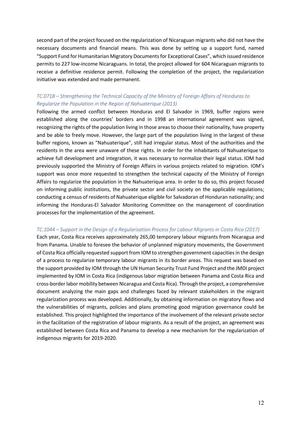second part of the project focused on the regularization of Nicaraguan migrants who did not have the necessary documents and financial means. This was done by setting up a support fund, named "Support Fund for Humanitarian Migratory Documents for Exceptional Cases", which issued residence permits to 227 low-income Nicaraguans. In total, the project allowed for 604 Nicaraguan migrants to receive a definitive residence permit. Following the completion of the project, the regularization initiative was extended and made permanent.

# *TC.0718 – Strengthening the Technical Capacity of the Ministry of Foreign Affairs of Honduras to Regularize the Population in the Region of Nahuaterique (2013)*

Following the armed conflict between Honduras and El Salvador in 1969, buffer regions were established along the countries' borders and in 1998 an international agreement was signed, recognizing the rights of the population living in those areas to choose their nationality, have property and be able to freely move. However, the large part of the population living in the largest of these buffer regions, known as "Nahuaterique", still had irregular status. Most of the authorities and the residents in the area were unaware of these rights. In order for the inhabitants of Nahuaterique to achieve full development and integration, it was necessary to normalize their legal status. IOM had previously supported the Ministry of Foreign Affairs in various projects related to migration. IOM's support was once more requested to strengthen the technical capacity of the Ministry of Foreign Affairs to regularize the population in the Nahuaterique area. In order to do so, this project focused on informing public institutions, the private sector and civil society on the applicable regulations; conducting a census of residents of Nahuaterique eligible for Salvadoran of Honduran nationality; and informing the Honduras-El Salvador Monitoring Committee on the management of coordination processes for the implementation of the agreement.

# *TC.1044 – Support in the Design of a Regularisation Process for Labour Migrants in Costa Rica (2017)*

Each year, Costa Rica receives approximately 265,00 temporary labour migrants from Nicaragua and from Panama. Unable to foresee the behavior of unplanned migratory movements, the Government of Costa Rica officially requested support from IOM to strengthen government capacities in the design of a process to regularize temporary labour migrants in its border areas. This request was based on the support provided by IOM through the UN Human Security Trust Fund Project and the JMDI project implemented by IOM in Costa Rica (indigenous labor migration between Panama and Costa Rica and cross-border labor mobility between Nicaragua and Costa Rica). Through the project, a comprehensive document analyzing the main gaps and challenges faced by relevant stakeholders in the migrant regularization process was developed. Additionally, by obtaining information on migratory flows and the vulnerabilities of migrants, policies and plans promoting good migration governance could be established. This project highlighted the importance of the involvement of the relevant private sector in the facilitation of the registration of labour migrants. As a result of the project, an agreement was established between Costa Rica and Panama to develop a new mechanism for the regularization of indigenous migrants for 2019-2020.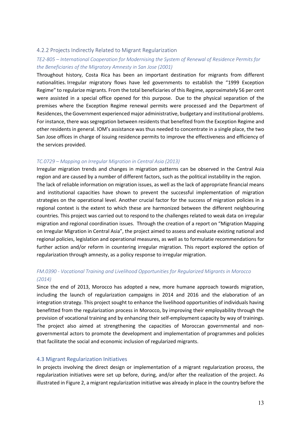#### 4.2.2 Projects Indirectly Related to Migrant Regularization

# *TE2-805 – International Cooperation for Modernising the System of Renewal of Residence Permits for the Beneficiaries of the Migratory Amnesty in San Jose (2001)*

Throughout history, Costa Rica has been an important destination for migrants from different nationalities. Irregular migratory flows have led governments to establish the "1999 Exception Regime" to regularize migrants. From the total beneficiaries of this Regime, approximately 56 per cent were assisted in a special office opened for this purpose. Due to the physical separation of the premises where the Exception Regime renewal permits were processed and the Department of Residences, the Government experienced major administrative, budgetary and institutional problems. For instance, there was segregation between residents that benefited from the Exception Regime and other residents in general. IOM's assistance was thus needed to concentrate in a single place, the two San Jose offices in charge of issuing residence permits to improve the effectiveness and efficiency of the services provided.

#### *TC.0729 – Mapping on Irregular Migration in Central Asia (2013)*

Irregular migration trends and changes in migration patterns can be observed in the Central Asia region and are caused by a number of different factors, such as the political instability in the region. The lack of reliable information on migration issues, as well as the lack of appropriate financial means and institutional capacities have shown to prevent the successful implementation of migration strategies on the operational level. Another crucial factor for the success of migration policies in a regional context is the extent to which these are harmonized between the different neighbouring countries. This project was carried out to respond to the challenges related to weak data on irregular migration and regional coordination issues. Through the creation of a report on "Migration Mapping on Irregular Migration in Central Asia", the project aimed to assess and evaluate existing national and regional policies, legislation and operational measures, as well as to formulatie recommendations for further action and/or reform in countering irregular migration. This report explored the option of regularization through amnesty, as a policy response to irregular migration.

# *FM.0390 - Vocational Training and Livelihood Opportunities for Regularized Migrants in Morocco (2014)*

Since the end of 2013, Morocco has adopted a new, more humane approach towards migration, including the launch of regularization campaigns in 2014 and 2016 and the elaboration of an integration strategy. This project sought to enhance the livelihood opportunities of individuals having benefitted from the regularization process in Morocco, by improving their employability through the provision of vocational training and by enhancing their self-employment capacity by way of trainings. The project also aimed at strengthening the capacities of Moroccan governmental and nongovernmental actors to promote the development and implementation of programmes and policies that facilitate the social and economic inclusion of regularized migrants.

#### 4.3 Migrant Regularization Initiatives

In projects involving the direct design or implementation of a migrant regularization process, the regularization initiatives were set up before, during, and/or after the realization of the project. As illustrated in Figure 2, a migrant regularization initiative was already in place in the country before the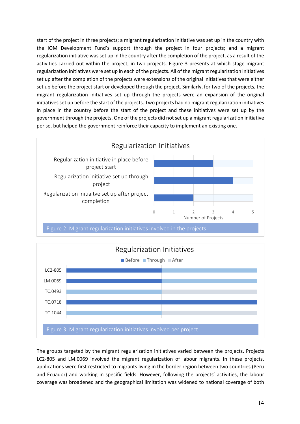start of the project in three projects; a migrant regularization initiative was set up in the country with the IOM Development Fund's support through the project in four projects; and a migrant regularization initiative was set up in the country after the completion of the project, as a result of the activities carried out within the project, in two projects. Figure 3 presents at which stage migrant regularization initiatives were set up in each of the projects. All of the migrant regularization initiatives set up after the completion of the projects were extensions of the original initiatives that were either set up before the project start or developed through the project. Similarly, for two of the projects, the migrant regularization initiatives set up through the projects were an expansion of the original initiatives set up before the start of the projects. Two projects had no migrant regularization initiatives in place in the country before the start of the project and these initiatives were set up by the government through the projects. One of the projects did not set up a migrant regularization initiative per se, but helped the government reinforce their capacity to implement an existing one.





The groups targeted by the migrant regularization initiatives varied between the projects. Projects LC2-805 and LM.0069 involved the migrant regularization of labour migrants. In these projects, applications were first restricted to migrants living in the border region between two countries (Peru and Ecuador) and working in specific fields. However, following the projects' activities, the labour coverage was broadened and the geographical limitation was widened to national coverage of both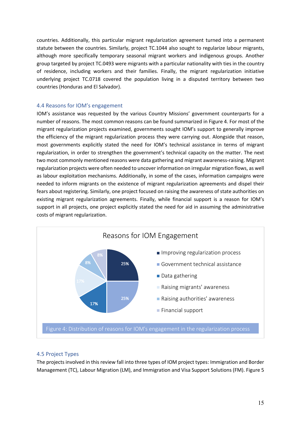countries. Additionally, this particular migrant regularization agreement turned into a permanent statute between the countries. Similarly, project TC.1044 also sought to regularize labour migrants, although more specifically temporary seasonal migrant workers and indigenous groups. Another group targeted by project TC.0493 were migrants with a particular nationality with ties in the country of residence, including workers and their families. Finally, the migrant regularization initiative underlying project TC.0718 covered the population living in a disputed territory between two countries (Honduras and El Salvador).

# 4.4 Reasons for IOM's engagement

IOM's assistance was requested by the various Country Missions' government counterparts for a number of reasons. The most common reasons can be found summarized in Figure 4. For most of the migrant regularization projects examined, governments sought IOM's support to generally improve the efficiency of the migrant regularization process they were carrying out. Alongside that reason, most governments explicitly stated the need for IOM's technical assistance in terms of migrant regularization, in order to strengthen the government's technical capacity on the matter. The next two most commonly mentioned reasons were data gathering and migrant awareness-raising. Migrant regularization projects were often needed to uncover information on irregular migration flows, as well as labour exploitation mechanisms. Additionally, in some of the cases, information campaigns were needed to inform migrants on the existence of migrant regularization agreements and dispel their fears about registering. Similarly, one project focused on raising the awareness of state authorities on existing migrant regularization agreements. Finally, while financial support is a reason for IOM's support in all projects, one project explicitly stated the need for aid in assuming the administrative costs of migrant regularization.



# 4.5 Project Types

The projects involved in this review fall into three types of IOM project types: Immigration and Border Management (TC), Labour Migration (LM), and Immigration and Visa Support Solutions (FM). Figure 5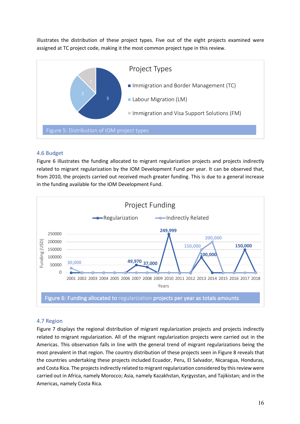illustrates the distribution of these project types. Five out of the eight projects examined were assigned at TC project code, making it the most common project type in this review.



# 4.6 Budget

Figure 6 illustrates the funding allocated to migrant regularization projects and projects indirectly related to migrant regularization by the IOM Development Fund per year. It can be observed that, from 2010, the projects carried out received much greater funding. This is due to a general increase in the funding available for the IOM Development Fund.



# 4.7 Region

Figure 7 displays the regional distribution of migrant regularization projects and projects indirectly related to migrant regularization. All of the migrant regularization projects were carried out in the Americas. This observation falls in line with the general trend of migrant regularizations being the most prevalent in that region. The country distribution of these projects seen in Figure 8 reveals that the countries undertaking these projects included Ecuador, Peru, El Salvador, Nicaragua, Honduras, and Costa Rica. The projects indirectly related to migrant regularization considered by this review were carried out in Africa, namely Morocco; Asia, namely Kazakhstan, Kyrgyzstan, and Tajikistan; and in the Americas, namely Costa Rica.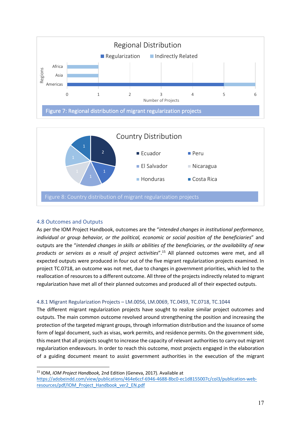



#### 4.8 Outcomes and Outputs

As per the IOM Project Handbook, outcomes are the "*intended changes in institutional performance, individual or group behavior, or the political, economic or social position of the beneficiaries*" and outputs are the "*intended changes in skills or abilities of the beneficiaries, or the availability of new products or services as a result of project activities*". <sup>15</sup> All planned outcomes were met, and all expected outputs were produced in four out of the five migrant regularization projects examined. In project TC.0718, an outcome was not met, due to changes in government priorities, which led to the reallocation of resources to a different outcome. All three of the projects indirectly related to migrant regularization have met all of their planned outcomes and produced all of their expected outputs.

#### 4.8.1 Migrant Regularization Projects – LM.0056, LM.0069, TC.0493, TC.0718, TC.1044

The different migrant regularization projects have sought to realize similar project outcomes and outputs. The main common outcome revolved around strengthening the position and increasing the protection of the targeted migrant groups, through information distribution and the issuance of some form of legal document, such as visas, work permits, and residence permits. On the government side, this meant that all projects sought to increase the capacity of relevant authorities to carry out migrant regularization endeavours. In order to reach this outcome, most projects engaged in the elaboration of a guiding document meant to assist government authorities in the execution of the migrant

<sup>15</sup> IOM, *IOM Project Handbook,* 2nd Edition (Geneva, 2017). Available at

https://adobeindd.com/view/publications/464e6ccf-6946-4688-8bc0-ec1d8155007c/col3/publication-webresources/pdf/IOM\_Project\_Handbook\_ver2\_EN.pdf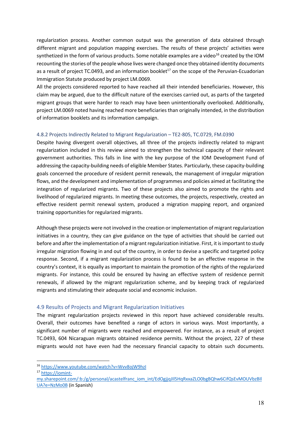regularization process. Another common output was the generation of data obtained through different migrant and population mapping exercises. The results of these projects' activities were synthetized in the form of various products. Some notable examples are a video<sup>16</sup> created by the IOM recounting the stories of the people whose lives were changed once they obtained identity documents as a result of project TC.0493, and an information booklet<sup>17</sup> on the scope of the Peruvian-Ecuadorian Immigration Statute produced by project LM.0069.

All the projects considered reported to have reached all their intended beneficiaries. However, this claim may be argued, due to the difficult nature of the exercises carried out, as parts of the targeted migrant groups that were harder to reach may have been unintentionally overlooked. Additionally, project LM.0069 noted having reached more beneficiaries than originally intended, in the distribution of information booklets and its information campaign.

#### 4.8.2 Projects Indirectly Related to Migrant Regularization – TE2-805, TC.0729, FM.0390

Despite having divergent overall objectives, all three of the projects indirectly related to migrant regularization included in this review aimed to strengthen the technical capacity of their relevant government authorities. This falls in line with the key purpose of the IOM Development Fund of addressing the capacity-building needs of eligible Member States. Particularly, these capacity-building goals concerned the procedure of resident permit renewals, the management of irregular migration flows, and the development and implementation of programmes and policies aimed at facilitating the integration of regularized migrants. Two of these projects also aimed to promote the rights and livelihood of regularized migrants. In meeting these outcomes, the projects, respectively, created an effective resident permit renewal system, produced a migration mapping report, and organized training opportunities for regularized migrants.

Although these projects were not involved in the creation or implementation of migrant regularization initiatives in a country, they can give guidance on the type of activities that should be carried out before and after the implementation of a migrant regularization initiative. First, it is important to study irregular migration flowing in and out of the country, in order to devise a specific and targeted policy response. Second, if a migrant regularization process is found to be an effective response in the country's context, it is equally as important to maintain the promotion of the rights of the regularized migrants. For instance, this could be ensured by having an effective system of residence permit renewals, if allowed by the migrant regularization scheme, and by keeping track of regularized migrants and stimulating their adequate social and economic inclusion.

# 4.9 Results of Projects and Migrant Regularization Initiatives

The migrant regularization projects reviewed in this report have achieved considerable results. Overall, their outcomes have benefited a range of actors in various ways. Most importantly, a significant number of migrants were reached and empowered. For instance, as a result of project TC.0493, 604 Nicaraguan migrants obtained residence permits. Without the project, 227 of these migrants would not have even had the necessary financial capacity to obtain such documents.

<sup>16</sup> https://www.youtube.com/watch?v=Wvv8ojW9hzI

<sup>17</sup> https://iomint-

my.sharepoint.com/:b:/g/personal/acastelfranc\_iom\_int/EdOgjjqJIl5HqRxxaZLO0bgBQhw6CifQsEvMOUVbzBIl UA?e=NzMo0B (in Spanish)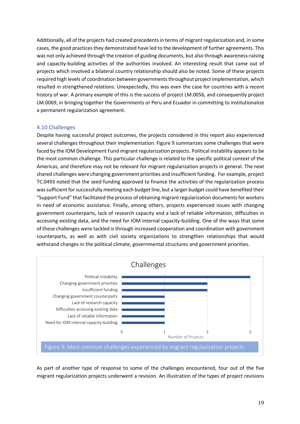Additionally, all of the projects had created precedents in terms of migrant regularization and, in some cases, the good practices they demonstrated have led to the development of further agreements. This was not only achieved through the creation of guiding documents, but also through awareness-raising and capacity-building activities of the authorities involved. An interesting result that came out of projects which involved a bilateral country relationship should also be noted. Some of these projects required high levels of coordination between governments throughout project implementation, which resulted in strengthened relations. Unexpectedly, this was even the case for countries with a recent history of war. A primary example of this is the success of project LM.0056, and consequently project LM.0069, in bringing together the Governments or Peru and Ecuador in committing to institutionalize a permanent regularization agreement.

#### 4.10 Challenges

Despite having successful project outcomes, the projects considered in this report also experienced several challenges throughout their implementation. Figure 9 summarizes some challenges that were faced by the IOM Development Fund migrant regularization projects. Political instability appears to be the most common challenge. This particular challenge is related to the specific political context of the Americas, and therefore may not be relevant for migrant regularization projects in general. The next shared challenges were changing government priorities and insufficient funding. For example, project TC.0493 noted that the seed funding approved to finance the activities of the regularization process was sufficient for successfully meeting each budget line, but a larger budget could have benefited their "Support Fund" that facilitated the process of obtaining migrant regularization documents for workers in need of economic assistance. Finally, among others, projects experienced issues with changing government counterparts, lack of research capacity and a lack of reliable information, difficulties in accessing existing data, and the need for IOM internal capacity-building. One of the ways that some of these challenges were tackled is through increased cooperation and coordination with government counterparts, as well as with civil society organizations to strengthen relationships that would withstand changes in the political climate, governmental structures and government priorities.



As part of another type of response to some of the challenges encountered, four out of the five migrant regularization projects underwent a revision. An illustration of the types of project revisions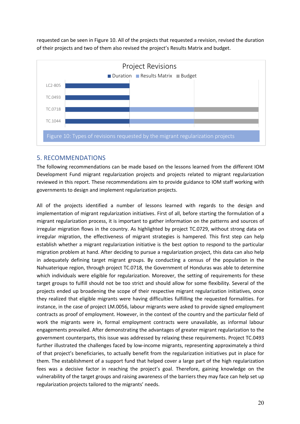requested can be seen in Figure 10. All of the projects that requested a revision, revised the duration of their projects and two of them also revised the project's Results Matrix and budget.



# 5. RECOMMENDATIONS

The following recommendations can be made based on the lessons learned from the different IOM Development Fund migrant regularization projects and projects related to migrant regularization reviewed in this report. These recommendations aim to provide guidance to IOM staff working with governments to design and implement regularization projects.

All of the projects identified a number of lessons learned with regards to the design and implementation of migrant regularization initiatives. First of all, before starting the formulation of a migrant regularization process, it is important to gather information on the patterns and sources of irregular migration flows in the country. As highlighted by project TC.0729, without strong data on irregular migration, the effectiveness of migrant strategies is hampered. This first step can help establish whether a migrant regularization initiative is the best option to respond to the particular migration problem at hand. After deciding to pursue a regularization project, this data can also help in adequately defining target migrant groups. By conducting a census of the population in the Nahuaterique region, through project TC.0718, the Government of Honduras was able to determine which individuals were eligible for regularization. Moreover, the setting of requirements for these target groups to fulfill should not be too strict and should allow for some flexibility. Several of the projects ended up broadening the scope of their respective migrant regularization initiatives, once they realized that eligible migrants were having difficulties fulfilling the requested formalities. For instance, in the case of project LM.0056, labour migrants were asked to provide signed employment contracts as proof of employment. However, in the context of the country and the particular field of work the migrants were in, formal employment contracts were unavailable, as informal labour engagements prevailed. After demonstrating the advantages of greater migrant regularization to the government counterparts, this issue was addressed by relaxing these requirements. Project TC.0493 further illustrated the challenges faced by low-income migrants, representing approximately a third of that project's beneficiaries, to actually benefit from the regularization initiatives put in place for them. The establishment of a support fund that helped cover a large part of the high regularization fees was a decisive factor in reaching the project's goal. Therefore, gaining knowledge on the vulnerability of the target groups and raising awareness of the barriers they may face can help set up regularization projects tailored to the migrants' needs.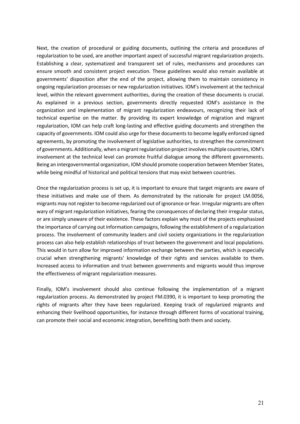Next, the creation of procedural or guiding documents, outlining the criteria and procedures of regularization to be used, are another important aspect of successful migrant regularization projects. Establishing a clear, systematized and transparent set of rules, mechanisms and procedures can ensure smooth and consistent project execution. These guidelines would also remain available at governments' disposition after the end of the project, allowing them to maintain consistency in ongoing regularization processes or new regularization initiatives. IOM's involvement at the technical level, within the relevant government authorities, during the creation of these documents is crucial. As explained in a previous section, governments directly requested IOM's assistance in the organization and implementation of migrant regularization endeavours, recognizing their lack of technical expertise on the matter. By providing its expert knowledge of migration and migrant regularization, IOM can help craft long-lasting and effective guiding documents and strengthen the capacity of governments. IOM could also urge for these documents to become legally enforced signed agreements, by promoting the involvement of legislative authorities, to strengthen the commitment of governments. Additionally, when a migrant regularization project involves multiple countries, IOM's involvement at the technical level can promote fruitful dialogue among the different governments. Being an intergovernmental organization, IOM should promote cooperation between Member States, while being mindful of historical and political tensions that may exist between countries.

Once the regularization process is set up, it is important to ensure that target migrants are aware of these initiatives and make use of them. As demonstrated by the rationale for project LM.0056, migrants may not register to become regularized out of ignorance or fear. Irregular migrants are often wary of migrant regularization initiatives, fearing the consequences of declaring their irregular status, or are simply unaware of their existence. These factors explain why most of the projects emphasized the importance of carrying out information campaigns, following the establishment of a regularization process. The involvement of community leaders and civil society organizations in the regularization process can also help establish relationships of trust between the government and local populations. This would in turn allow for improved information exchange between the parties, which is especially crucial when strengthening migrants' knowledge of their rights and services available to them. Increased access to information and trust between governments and migrants would thus improve the effectiveness of migrant regularization measures.

Finally, IOM's involvement should also continue following the implementation of a migrant regularization process. As demonstrated by project FM.0390, it is important to keep promoting the rights of migrants after they have been regularized. Keeping track of regularized migrants and enhancing their livelihood opportunities, for instance through different forms of vocational training, can promote their social and economic integration, benefitting both them and society.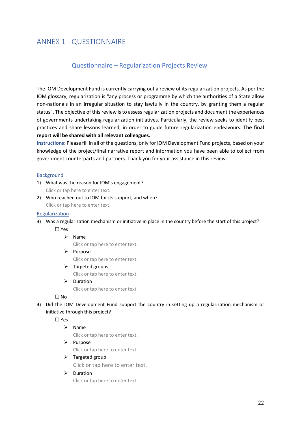# Questionnaire – Regularization Projects Review

The IOM Development Fund is currently carrying out a review of its regularization projects. As per the IOM glossary, regularization is "any process or programme by which the authorities of a State allow non-nationals in an irregular situation to stay lawfully in the country, by granting them a regular status". The objective of this review is to assess regularization projects and document the experiences of governments undertaking regularization initiatives. Particularly, the review seeks to identify best practices and share lessons learned, in order to guide future regularization endeavours. **The final report will be shared with all relevant colleagues.**

**Instructions:** Please fill in all of the questions, only for IOM Development Fund projects, based on your knowledge of the project/final narrative report and information you have been able to collect from government counterparts and partners. Thank you for your assistance in this review.

#### Background

- 1) What was the reason for IOM's engagement? Click or tap here to enter text.
- 2) Who reached out to IOM for its support, and when? Click or tap here to enter text.

#### Regularization

- 3) Was a regularization mechanism or initiative in place in the country before the start of this project?
	- ☐ Yes
		- $\triangleright$  Name

Click or tap here to enter text.

Ø Purpose

Click or tap here to enter text.

 $\triangleright$  Targeted groups

Click or tap here to enter text.

 $\triangleright$  Duration

Click or tap here to enter text.

#### ☐ No

4) Did the IOM Development Fund support the country in setting up a regularization mechanism or initiative through this project?

☐ Yes

# $\triangleright$  Name

Click or tap here to enter text.

#### $\triangleright$  Purpose

Click or tap here to enter text.

#### $\triangleright$  Targeted group

Click or tap here to enter text.

#### $\triangleright$  Duration

Click or tap here to enter text.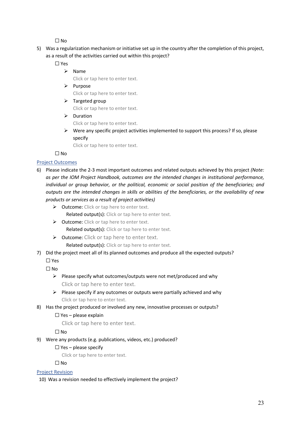☐ No

5) Was a regularization mechanism or initiative set up in the country after the completion of this project, as a result of the activities carried out within this project?

☐ Yes

 $\triangleright$  Name

Click or tap here to enter text.

- $\triangleright$  Purpose Click or tap here to enter text.
- $\triangleright$  Targeted group

Click or tap here to enter text.

 $\triangleright$  Duration

Click or tap here to enter text.

 $\triangleright$  Were any specific project activities implemented to support this process? If so, please specify

Click or tap here to enter text.

☐ No

# Project Outcomes

- 6) Please indicate the 2-3 most important outcomes and related outputs achieved by this project *(Note: as per the IOM Project Handbook, outcomes are the intended changes in institutional performance, individual or group behavior, or the political, economic or social position of the beneficiaries; and outputs are the intended changes in skills or abilities of the beneficiaries, or the availability of new products or services as a result of project activities)*
	- $\triangleright$  Outcome: Click or tap here to enter text.

Related output(s): Click or tap here to enter text.

- $\triangleright$  Outcome: Click or tap here to enter text. Related output(s): Click or tap here to enter text.
- $\triangleright$  Outcome: Click or tap here to enter text.
	- Related output(s): Click or tap here to enter text.
- 7) Did the project meet all of its planned outcomes and produce all the expected outputs?

☐ Yes

 $\Box$  No

- $\triangleright$  Please specify what outcomes/outputs were not met/produced and why Click or tap here to enter text.
- $\triangleright$  Please specify if any outcomes or outputs were partially achieved and why Click or tap here to enter text.
- 8) Has the project produced or involved any new, innovative processes or outputs?

# $\Box$  Yes – please explain

Click or tap here to enter text.

☐ No

- 9) Were any products (e.g. publications, videos, etc.) produced?
	- $\Box$  Yes please specify

Click or tap here to enter text.

 $\square$  No

# Project Revision

10) Was a revision needed to effectively implement the project?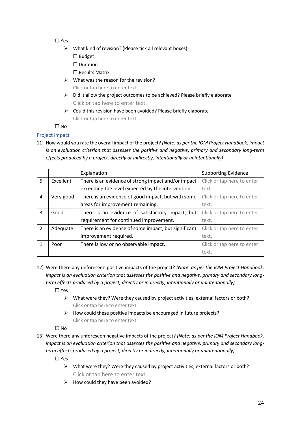# ☐ Yes

- $\triangleright$  What kind of revision? (Please tick all relevant boxes)
	- ☐ Budget
	- ☐ Duration
	- ☐ Results Matrix
- $\triangleright$  What was the reason for the revision? Click or tap here to enter text.
- $\triangleright$  Did it allow the project outcomes to be achieved? Please briefly elaborate Click or tap here to enter text.
- $\triangleright$  Could this revision have been avoided? Please briefly elaborate Click or tap here to enter text.

 $\Box$  No.

# Project Impact

11) How would you rate the overall impact of the project? *(Note: as per the IOM Project Handbook, impact is an evaluation criterion that assesses the positive and negative, primary and secondary long-term effects produced by a project, directly or indirectly, intentionally or unintentionally)*

|                |                  | Explanation                                          | <b>Supporting Evidence</b> |
|----------------|------------------|------------------------------------------------------|----------------------------|
| 5              | <b>Excellent</b> | There is an evidence of strong impact and/or impact  | Click or tap here to enter |
|                |                  | exceeding the level expected by the intervention.    | text.                      |
| 4              | Very good        | There is an evidence of good impact, but with some   | Click or tap here to enter |
|                |                  | areas for improvement remaining.                     | text.                      |
| 3              | Good             | There is an evidence of satisfactory impact, but     | Click or tap here to enter |
|                |                  | requirement for continued improvement.               | text.                      |
| $\overline{2}$ | Adequate         | There is an evidence of some impact, but significant | Click or tap here to enter |
|                |                  | improvement required.                                | text.                      |
| 1              | Poor             | There is low or no observable impact.                | Click or tap here to enter |
|                |                  |                                                      | text.                      |

- 12) Were there any unforeseen positive impacts of the project? *(Note: as per the IOM Project Handbook, impact is an evaluation criterion that assesses the positive and negative, primary and secondary longterm effects produced by a project, directly or indirectly, intentionally or unintentionally)*
	- ☐ Yes
		- $\triangleright$  What were they? Were they caused by project activities, external factors or both? Click or tap here to enter text.
		- $\triangleright$  How could these positive impacts be encouraged in future projects? Click or tap here to enter text.

 $\Box$  No

13) Were there any unforeseen negative impacts of the project? *(Note: as per the IOM Project Handbook, impact is an evaluation criterion that assesses the positive and negative, primary and secondary longterm effects produced by a project, directly or indirectly, intentionally or unintentionally)*

☐ Yes

- $\triangleright$  What were they? Were they caused by project activities, external factors or both? Click or tap here to enter text.
- $\triangleright$  How could they have been avoided?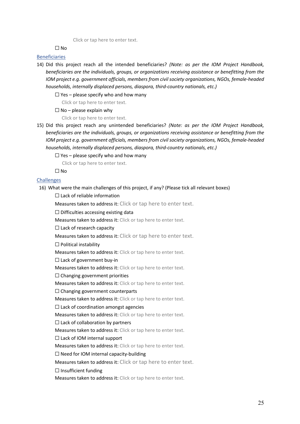Click or tap here to enter text.

 $\Box$  No

#### Beneficiaries

14) Did this project reach all the intended beneficiaries? *(Note: as per the IOM Project Handbook, beneficiaries are the individuals, groups, or organizations receiving assistance or benefitting from the IOM project e.g. government officials, members from civil society organizations, NGOs, female-headed households, internally displaced persons, diaspora, third-country nationals, etc.)*

 $\Box$  Yes – please specify who and how many

Click or tap here to enter text.

 $\Box$  No – please explain why

Click or tap here to enter text.

15) Did this project reach any unintended beneficiaries? *(Note: as per the IOM Project Handbook, beneficiaries are the individuals, groups, or organizations receiving assistance or benefitting from the IOM project e.g. government officials, members from civil society organizations, NGOs, female-headed households, internally displaced persons, diaspora, third-country nationals, etc.)*

 $\Box$  Yes – please specify who and how many

Click or tap here to enter text.

 $\Box$  No

#### **Challenges**

16) What were the main challenges of this project, if any? (Please tick all relevant boxes)

☐ Lack of reliable information

Measures taken to address it: Click or tap here to enter text.

 $\Box$  Difficulties accessing existing data

Measures taken to address it: Click or tap here to enter text.

☐ Lack of research capacity

Measures taken to address it: Click or tap here to enter text.

☐ Political instability

Measures taken to address it: Click or tap here to enter text.

 $\Box$  Lack of government buy-in

Measures taken to address it: Click or tap here to enter text.

☐ Changing government priorities

Measures taken to address it: Click or tap here to enter text.

☐ Changing government counterparts

Measures taken to address it: Click or tap here to enter text.

 $\Box$  Lack of coordination amongst agencies

Measures taken to address it: Click or tap here to enter text.

 $\Box$  Lack of collaboration by partners

Measures taken to address it: Click or tap here to enter text.

 $\Box$  Lack of IOM internal support

Measures taken to address it: Click or tap here to enter text.

 $\Box$  Need for IOM internal capacity-building

Measures taken to address it: Click or tap here to enter text.

 $\Box$  Insufficient funding

Measures taken to address it: Click or tap here to enter text.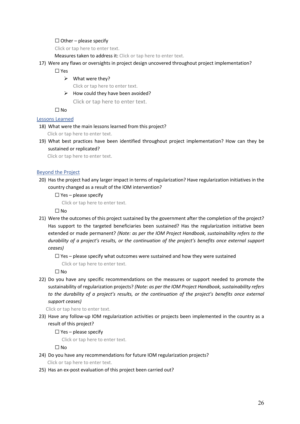#### $\Box$  Other – please specify

Click or tap here to enter text.

Measures taken to address it: Click or tap here to enter text.

17) Were any flaws or oversights in project design uncovered throughout project implementation?

☐ Yes

- $\triangleright$  What were they? Click or tap here to enter text.
- $\triangleright$  How could they have been avoided? Click or tap here to enter text.

☐ No

#### Lessons Learned

18) What were the main lessons learned from this project?

Click or tap here to enter text.

19) What best practices have been identified throughout project implementation? How can they be sustained or replicated?

Click or tap here to enter text.

#### Beyond the Project

- 20) Has the project had any larger impact in terms of regularization? Have regularization initiatives in the country changed as a result of the IOM intervention?
	- $\Box$  Yes please specify

Click or tap here to enter text.

☐ No

21) Were the outcomes of this project sustained by the government after the completion of the project? Has support to the targeted beneficiaries been sustained? Has the regularization initiative been extended or made permanent? *(Note: as per the IOM Project Handbook, sustainability refers to the durability of a project's results, or the continuation of the project's benefits once external support ceases)*

 $\Box$  Yes – please specify what outcomes were sustained and how they were sustained

Click or tap here to enter text.

☐ No

22) Do you have any specific recommendations on the measures or support needed to promote the sustainability of regularization projects? *(Note: as per the IOM Project Handbook, sustainability refers*  to the durability of a project's results, or the continuation of the project's benefits once external *support ceases)*

Click or tap here to enter text.

23) Have any follow-up IOM regularization activities or projects been implemented in the country as a result of this project?

 $\Box$  Yes – please specify

Click or tap here to enter text.

☐ No

24) Do you have any recommendations for future IOM regularization projects?

Click or tap here to enter text.

25) Has an ex-post evaluation of this project been carried out?